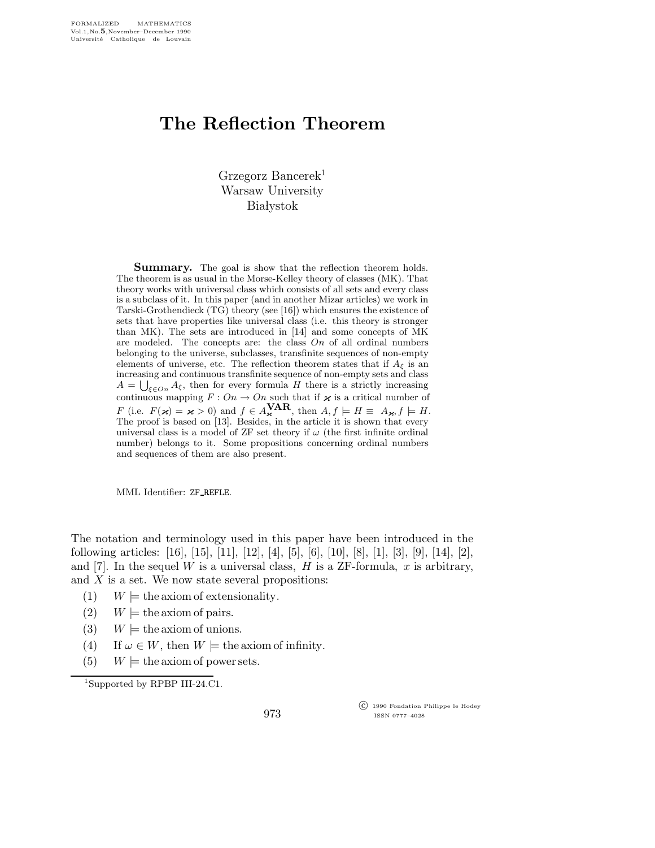## The Reflection Theorem

Grzegorz Bancerek<sup>1</sup> Warsaw University **Białystok** 

**Summary.** The goal is show that the reflection theorem holds. The theorem is as usual in the Morse-Kelley theory of classes (MK). That theory works with universal class which consists of all sets and every class is a subclass of it. In this paper (and in another Mizar articles) we work in Tarski-Grothendieck (TG) theory (see [16]) which ensures the existence of sets that have properties like universal class (i.e. this theory is stronger than MK). The sets are introduced in [14] and some concepts of MK are modeled. The concepts are: the class  $On$  of all ordinal numbers belonging to the universe, subclasses, transfinite sequences of non-empty elements of universe, etc. The reflection theorem states that if  $A_{\xi}$  is an increasing and continuous transfinite sequence of non-empty sets and class  $A = \bigcup_{\xi \in On} A_{\xi}$ , then for every formula H there is a strictly increasing continuous mapping  $F: On \to On$  such that if  $\varkappa$  is a critical number of  $F$  (i.e.  $F(\varkappa) = \varkappa > 0$ ) and  $f \in A_{\varkappa}^{\textbf{VAR}}$ , then  $A, f \models H \equiv A_{\varkappa}, f \models H$ . The proof is based on [13]. Besides, in the article it is shown that every universal class is a model of ZF set theory if  $\omega$  (the first infinite ordinal number) belongs to it. Some propositions concerning ordinal numbers and sequences of them are also present.

MML Identifier: ZF REFLE.

The notation and terminology used in this paper have been introduced in the following articles: [16], [15], [11], [12], [4], [5], [6], [10], [8], [1], [3], [9], [14], [2], and [7]. In the sequel W is a universal class, H is a ZF-formula, x is arbitrary, and  $X$  is a set. We now state several propositions:

- (1)  $W \models$  the axiom of extensionality.
- (2)  $W \models$  the axiom of pairs.
- (3)  $W \models$  the axiom of unions.
- (4) If  $\omega \in W$ , then  $W \models$  the axiom of infinity.
- (5)  $W \models$  the axiom of power sets.

<sup>1</sup>Supported by RPBP III-24.C1.

973

 c 1990 Fondation Philippe le Hodey ISSN 0777–4028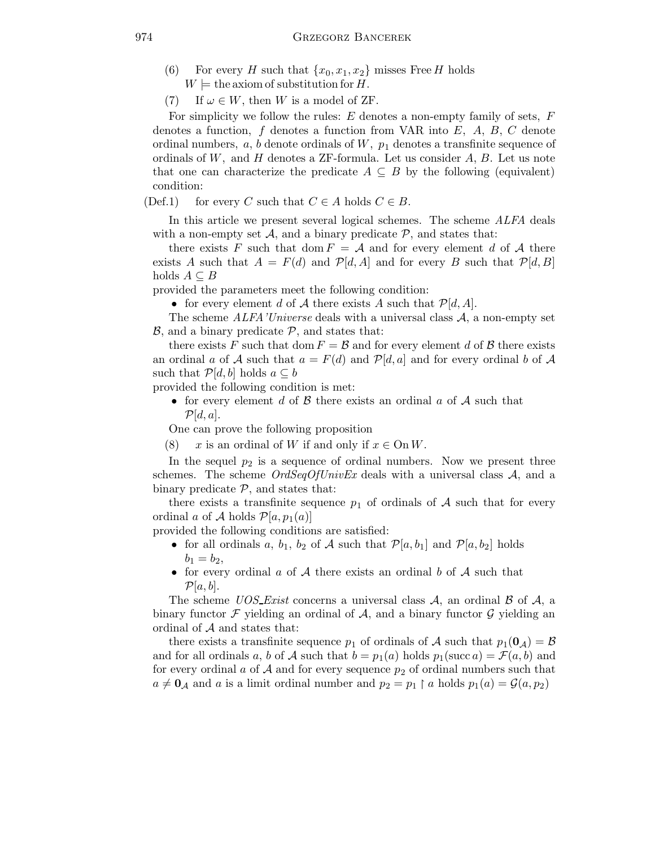- (6) For every H such that  $\{x_0, x_1, x_2\}$  misses Free H holds  $W \models$  the axiom of substitution for H.
- (7) If  $\omega \in W$ , then W is a model of ZF.

For simplicity we follow the rules:  $E$  denotes a non-empty family of sets,  $F$ denotes a function,  $f$  denotes a function from VAR into  $E$ ,  $A$ ,  $B$ ,  $C$  denote ordinal numbers,  $a, b$  denote ordinals of  $W$ ,  $p<sub>1</sub>$  denotes a transfinite sequence of ordinals of  $W$ , and  $H$  denotes a ZF-formula. Let us consider  $A$ ,  $B$ . Let us note that one can characterize the predicate  $A \subseteq B$  by the following (equivalent) condition:

(Def.1) for every C such that  $C \in A$  holds  $C \in B$ .

In this article we present several logical schemes. The scheme ALFA deals with a non-empty set  $\mathcal{A}$ , and a binary predicate  $\mathcal{P}$ , and states that:

there exists F such that dom  $F = A$  and for every element d of A there exists A such that  $A = F(d)$  and  $P[d, A]$  and for every B such that  $P[d, B]$ holds  $A \subseteq B$ 

provided the parameters meet the following condition:

• for every element d of A there exists A such that  $\mathcal{P}[d, A]$ .

The scheme  $ALFA'Universe$  deals with a universal class  $A$ , a non-empty set  $\mathcal{B}$ , and a binary predicate  $\mathcal{P}$ , and states that:

there exists F such that dom  $F = \mathcal{B}$  and for every element d of  $\mathcal{B}$  there exists an ordinal a of A such that  $a = F(d)$  and  $\mathcal{P}[d, a]$  and for every ordinal b of A such that  $\mathcal{P}[d,b]$  holds  $a \subseteq b$ 

provided the following condition is met:

• for every element d of  $\beta$  there exists an ordinal a of  $\mathcal A$  such that  $\mathcal{P}[d,a].$ 

One can prove the following proposition

(8) x is an ordinal of W if and only if  $x \in \text{On } W$ .

In the sequel  $p_2$  is a sequence of ordinal numbers. Now we present three schemes. The scheme  $OrdSeqOfUniversity$  deals with a universal class  $A$ , and a binary predicate  $P$ , and states that:

there exists a transfinite sequence  $p_1$  of ordinals of A such that for every ordinal a of A holds  $\mathcal{P}[a, p_1(a)]$ 

provided the following conditions are satisfied:

- for all ordinals a,  $b_1$ ,  $b_2$  of A such that  $\mathcal{P}[a,b_1]$  and  $\mathcal{P}[a,b_2]$  holds  $b_1 = b_2,$
- for every ordinal  $a$  of  $A$  there exists an ordinal  $b$  of  $A$  such that  $\mathcal{P}[\mathfrak{a},\mathfrak{b}].$

The scheme  $UOS\_{Exist}$  concerns a universal class A, an ordinal B of A, a binary functor  $\mathcal F$  yielding an ordinal of  $\mathcal A$ , and a binary functor  $\mathcal G$  yielding an ordinal of  $A$  and states that:

there exists a transfinite sequence  $p_1$  of ordinals of A such that  $p_1(\mathbf{0}_A) = \mathcal{B}$ and for all ordinals a, b of A such that  $b = p_1(a)$  holds  $p_1(\text{succ } a) = \mathcal{F}(a, b)$  and for every ordinal a of  $A$  and for every sequence  $p_2$  of ordinal numbers such that  $a \neq \mathbf{0}_{\mathcal{A}}$  and a is a limit ordinal number and  $p_2 = p_1 \upharpoonright a$  holds  $p_1(a) = \mathcal{G}(a, p_2)$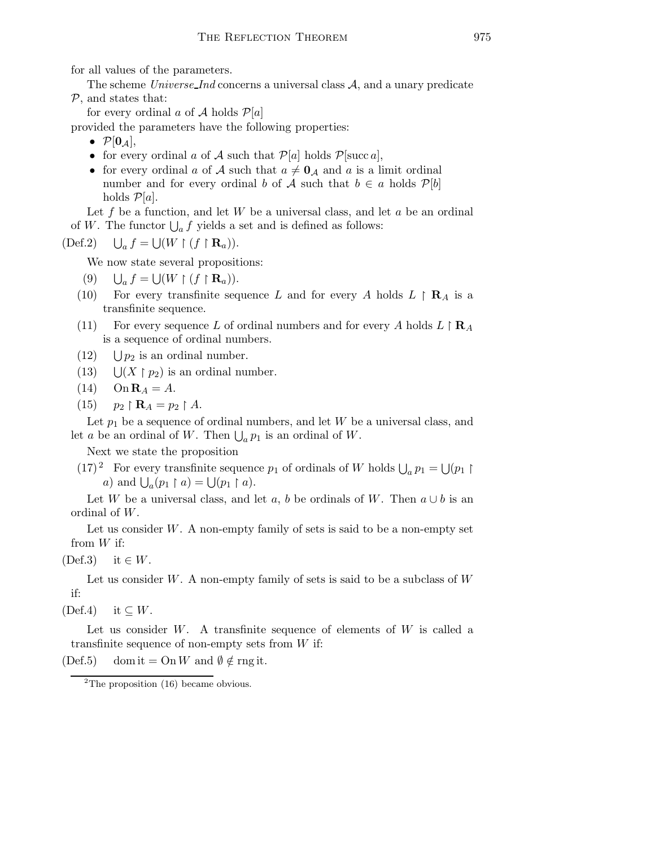for all values of the parameters.

The scheme Universe Ind concerns a universal class A, and a unary predicate P, and states that:

for every ordinal a of A holds  $\mathcal{P}[a]$ 

provided the parameters have the following properties:

- $\mathcal{P}[\mathbf{0}_{\mathcal{A}}],$
- for every ordinal a of A such that  $\mathcal{P}[a]$  holds  $\mathcal{P}[\text{succ }a],$
- for every ordinal a of A such that  $a \neq 0_A$  and a is a limit ordinal number and for every ordinal b of A such that  $b \in a$  holds  $\mathcal{P}[b]$ holds  $\mathcal{P}[a]$ .

Let f be a function, and let  $W$  be a universal class, and let  $a$  be an ordinal of W. The functor  $\bigcup_{a} f$  yields a set and is defined as follows:

 $(Def.2)$  $_{a} f = \bigcup (W \restriction (f \restriction \mathbf{R}_{a})).$ 

We now state several propositions:

- $(9)$  $_{a} f = \bigcup (W \restriction (f \restriction \mathbf{R}_{a})).$
- (10) For every transfinite sequence L and for every A holds  $L \upharpoonright \mathbf{R}_A$  is a transfinite sequence.
- (11) For every sequence L of ordinal numbers and for every A holds  $L \upharpoonright \mathbf{R}_A$ is a sequence of ordinal numbers.
- $(12)$  $\bigcup p_2$  is an ordinal number.
- $(13)$  $(X \mid p_2)$  is an ordinal number.
- $(14)$  On  $\mathbf{R}_A = A$ .

$$
(15) \quad p_2 \upharpoonright \mathbf{R}_A = p_2 \upharpoonright A.
$$

Let  $p_1$  be a sequence of ordinal numbers, and let  $W$  be a universal class, and let a be an ordinal of W. Then  $\bigcup_{a} p_1$  is an ordinal of W.

Next we state the proposition

 $(17)^2$  For every transfinite sequence  $p_1$  of ordinals of W holds  $\bigcup_a p_1 = \bigcup (p_1 \upharpoonright$ a) and  $\bigcup_a (p_1 \restriction a) = \bigcup (p_1 \restriction a)$ .

Let W be a universal class, and let a, b be ordinals of W. Then  $a \cup b$  is an ordinal of W.

Let us consider  $W$ . A non-empty family of sets is said to be a non-empty set from  $W$  if:

 $(Def.3)$  it  $\in W$ .

Let us consider W. A non-empty family of sets is said to be a subclass of  $W$ if:

 $(Def.4)$  it  $\subseteq W$ .

Let us consider  $W$ . A transfinite sequence of elements of  $W$  is called a transfinite sequence of non-empty sets from  $W$  if:

(Def.5) dom it = On W and  $\emptyset \notin \text{rng it}$ .

 ${}^{2}$ The proposition (16) became obvious.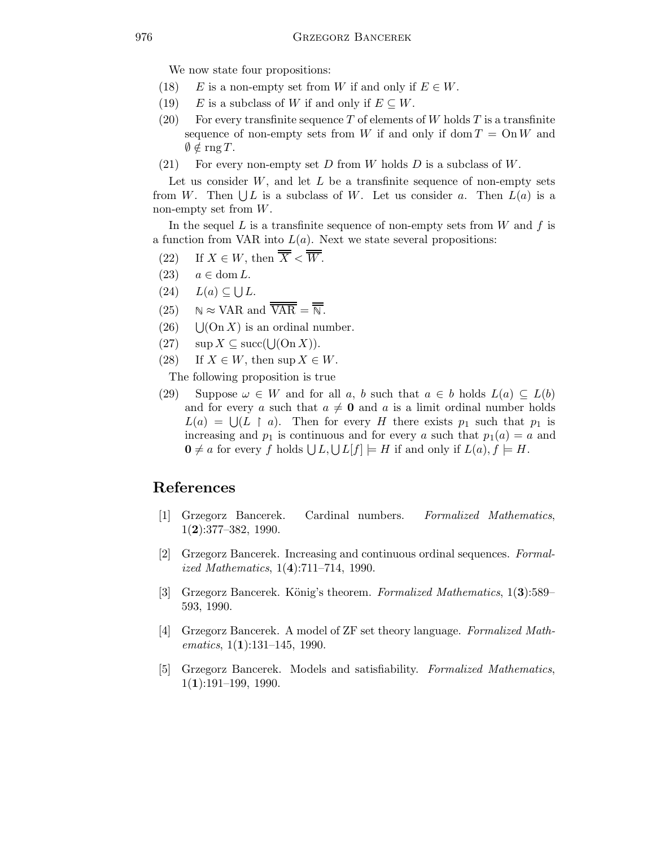We now state four propositions:

- (18) E is a non-empty set from W if and only if  $E \in W$ .
- (19) E is a subclass of W if and only if  $E \subseteq W$ .
- (20) For every transfinite sequence T of elements of W holds T is a transfinite sequence of non-empty sets from W if and only if dom  $T = \text{On } W$  and  $\emptyset \notin \text{rng } T.$
- (21) For every non-empty set  $D$  from  $W$  holds  $D$  is a subclass of  $W$ .

Let us consider  $W$ , and let  $L$  be a transfinite sequence of non-empty sets from W. Then  $\bigcup L$  is a subclass of W. Let us consider a. Then  $L(a)$  is a non-empty set from W.

In the sequel L is a transfinite sequence of non-empty sets from W and  $f$  is a function from VAR into  $L(a)$ . Next we state several propositions:

- (22) If  $X \in W$ , then  $\overline{\overline{X}} \le \overline{\overline{W}}$ .
- (23)  $a \in \text{dom } L$ .
- $(24)$   $L(a) \subseteq \bigcup L$ .
- $(25)$  N  $\approx$  VAR and  $\overline{\text{VAR}} = \overline{\overline{\text{N}}}$ .
- $(26)$  $\bigcup$ (On X) is an ordinal number.
- $(27)$  sup  $X \subseteq \text{succ}(\bigcup(\text{On } X)).$
- (28) If  $X \in W$ , then sup  $X \in W$ .

The following proposition is true

(29) Suppose  $\omega \in W$  and for all a, b such that  $a \in b$  holds  $L(a) \subseteq L(b)$ and for every a such that  $a \neq 0$  and a is a limit ordinal number holds  $L(a) = \bigcup (L \mid a)$ . Then for every H there exists  $p_1$  such that  $p_1$  is increasing and  $p_1$  is continuous and for every a such that  $p_1(a) = a$  and  $\mathbf{0} \neq a$  for every f holds  $\bigcup L, \bigcup L[f] \models H$  if and only if  $L(a), f \models H$ .

## References

- [1] Grzegorz Bancerek. Cardinal numbers. Formalized Mathematics, 1(2):377–382, 1990.
- [2] Grzegorz Bancerek. Increasing and continuous ordinal sequences. Formalized Mathematics,  $1(4):711-714$ , 1990.
- [3] Grzegorz Bancerek. König's theorem. Formalized Mathematics,  $1(3):589-$ 593, 1990.
- [4] Grzegorz Bancerek. A model of ZF set theory language. Formalized Mathematics,  $1(1):131-145$ , 1990.
- [5] Grzegorz Bancerek. Models and satisfiability. Formalized Mathematics,  $1(1):191-199, 1990.$